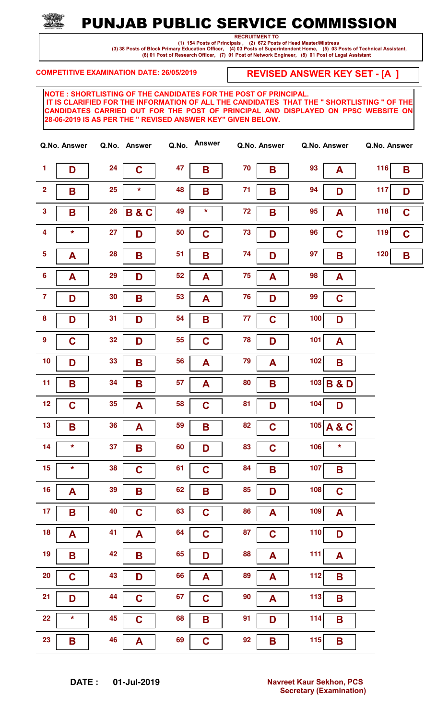

RECRUITMENT TO

 (1) 154 Posts of Principals , (2) 672 Posts of Head Master/Mistress (3) 38 Posts of Block Primary Education Officer, (4) 03 Posts of Superintendent Home, (5) 03 Posts of Technical Assistant, (6) 01 Post of Research Officer, (7) 01 Post of Network Engineer, (8) 01 Post of Legal Assistant

COMPETITIVE EXAMINATION DATE: 26/05/2019

REVISED ANSWER KEY SET - [A ]

|                         | Q.No. Answer |    | Q.No. Answer   | Q.No. | <b>Answer</b> |    | Q.No. Answer |     | Q.No. Answer   | Q.No. Answer |             |
|-------------------------|--------------|----|----------------|-------|---------------|----|--------------|-----|----------------|--------------|-------------|
| $\mathbf{1}$            | D            | 24 | $\mathbf C$    | 47    | B             | 70 | B            | 93  | A              | 116          | B           |
| $\overline{\mathbf{2}}$ | B            | 25 | $\star$        | 48    | B             | 71 | B            | 94  | D              | 117          | D           |
| $\overline{\mathbf{3}}$ | B            | 26 | <b>B&amp;C</b> | 49    | $\star$       | 72 | B            | 95  | A              | 118          | $\mathbf C$ |
| $\overline{\mathbf{4}}$ | *            | 27 | D              | 50    | $\mathbf C$   | 73 | D            | 96  | $\mathbf C$    | 119          | $\mathbf C$ |
| $\overline{\mathbf{5}}$ | A            | 28 | B              | 51    | B             | 74 | D            | 97  | B              | 120          | B           |
| $6\phantom{a}$          | A            | 29 | D              | 52    | A             | 75 | A            | 98  | A              |              |             |
| $\overline{7}$          | D            | 30 | B              | 53    | A             | 76 | D            | 99  | $\mathbf C$    |              |             |
| $\pmb{8}$               | D            | 31 | D              | 54    | B             | 77 | $\mathbf C$  | 100 | D              |              |             |
| $\boldsymbol{9}$        | $\mathbf C$  | 32 | D              | 55    | $\mathbf C$   | 78 | D            | 101 | A              |              |             |
| 10                      | D            | 33 | B              | 56    | A             | 79 | A            | 102 | B              |              |             |
| 11                      | B            | 34 | B              | 57    | A             | 80 | B            | 103 | <b>B&amp;D</b> |              |             |
| 12                      | $\mathbf C$  | 35 | A              | 58    | $\mathbf C$   | 81 | D            | 104 | D              |              |             |
| 13                      | B            | 36 | A              | 59    | B             | 82 | $\mathbf C$  |     | 105 A & C      |              |             |
| 14                      | $\star$      | 37 | Β              | 60    | D             | 83 | $\mathbf C$  | 106 | $\star$        |              |             |
| 15                      | *            | 38 | $\mathbf C$    | 61    | $\mathbf C$   | 84 | B            | 107 | B              |              |             |
| 16                      | A            | 39 | B              | 62    | B             | 85 | D            | 108 | $\mathbf C$    |              |             |
| 17                      | B            | 40 | $\mathbf C$    | 63    | $\mathbf C$   | 86 | A            | 109 | A              |              |             |
| 18                      | A            | 41 | A              | 64    | $\mathbf C$   | 87 | $\mathbf C$  | 110 | D              |              |             |
| 19                      | B            | 42 | B              | 65    | D             | 88 | A            | 111 | A              |              |             |
| 20                      | $\mathbf C$  | 43 | D              | 66    | A             | 89 | A            | 112 | B              |              |             |
| 21                      | D            | 44 | $\mathbf C$    | 67    | $\mathbf C$   | 90 | A            | 113 | B              |              |             |
| 22                      | *            | 45 | $\mathbf C$    | 68    | B             | 91 | D            | 114 | B              |              |             |
| 23                      | B            | 46 | A              | 69    | $\mathbf C$   | 92 | Β            | 115 | B              |              |             |

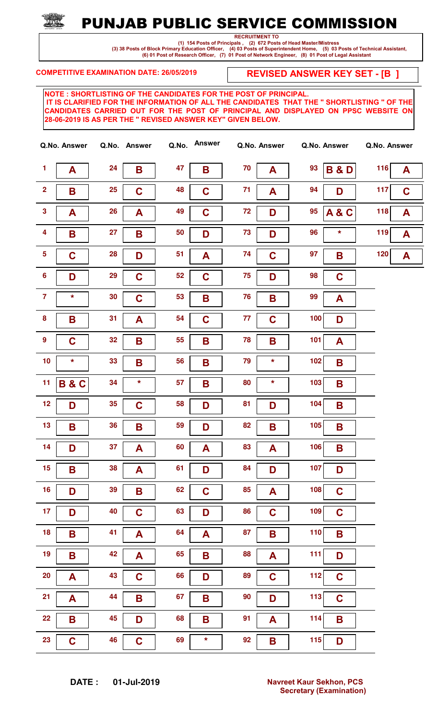## PUNJAB PUBLIC SERVICE COMMISSION

RECRUITMENT TO

 (1) 154 Posts of Principals , (2) 672 Posts of Head Master/Mistress (3) 38 Posts of Block Primary Education Officer, (4) 03 Posts of Superintendent Home, (5) 03 Posts of Technical Assistant, (6) 01 Post of Research Officer, (7) 01 Post of Network Engineer, (8) 01 Post of Legal Assistant

COMPETITIVE EXAMINATION DATE: 26/05/2019

REVISED ANSWER KEY SET - [B ]

|                         | Q.No. Answer   |    | Q.No. Answer | Q.No. | <b>Answer</b> |    | Q.No. Answer |       | Q.No. Answer   | Q.No. Answer |             |
|-------------------------|----------------|----|--------------|-------|---------------|----|--------------|-------|----------------|--------------|-------------|
| $\mathbf{1}$            | A              | 24 | B            | 47    | B             | 70 | A            | 93    | <b>B&amp;D</b> | 116          | A           |
| $\overline{\mathbf{2}}$ | B              | 25 | $\mathbf C$  | 48    | $\mathbf C$   | 71 | A            | 94    | D              | 117          | $\mathbf C$ |
| $\overline{\mathbf{3}}$ | A              | 26 | A            | 49    | $\mathbf C$   | 72 | D            | 95    | A&C            | 118          | A           |
| $\overline{\mathbf{4}}$ | B              | 27 | B            | 50    | D             | 73 | D            | 96    | $\star$        | 119          | A           |
| $5\phantom{.0}$         | $\overline{C}$ | 28 | D            | 51    | A             | 74 | $\mathbf C$  | 97    | B              | 120          | A           |
| $6\phantom{a}$          | D              | 29 | $\mathbf C$  | 52    | $\mathbf C$   | 75 | D            | 98    | $\mathbf C$    |              |             |
| $\overline{7}$          | *              | 30 | $\mathbf C$  | 53    | B             | 76 | B            | 99    | A              |              |             |
| $\pmb{8}$               | B              | 31 | A            | 54    | $\mathbf C$   | 77 | $\mathbf C$  | 100   | D              |              |             |
| $\boldsymbol{9}$        | $\mathbf C$    | 32 | B            | 55    | B             | 78 | B            | 101   | A              |              |             |
| 10                      | $\star$        | 33 | B            | 56    | B             | 79 | $\star$      | $102$ | B              |              |             |
| 11                      | <b>B&amp;C</b> | 34 | $\star$      | 57    | B             | 80 | $\star$      | 103   | B              |              |             |
| 12                      | D              | 35 | $\mathbf C$  | 58    | D             | 81 | D            | 104   | B              |              |             |
| 13                      | B              | 36 | B            | 59    | D             | 82 | B            | 105   | B              |              |             |
| 14                      | D              | 37 | A            | 60    | A             | 83 | A            | 106   | B              |              |             |
| 15                      | B              | 38 | A            | 61    | D             | 84 | D            | 107   | D              |              |             |
| 16                      | D              | 39 | B            | 62    | $\mathbf C$   | 85 | A            | 108   | $\mathbf C$    |              |             |
| 17 <sub>2</sub>         | D              | 40 | $\mathbf C$  | 63    | D             | 86 | $\mathbf C$  | 109   | $\mathbf C$    |              |             |
| 18                      | B              | 41 | A            | 64    | A             | 87 | B            | 110   | B              |              |             |
| 19                      | B              | 42 | A            | 65    | B             | 88 | A            | 111   | D              |              |             |
| 20                      | A              | 43 | $\mathbf C$  | 66    | D             | 89 | $\mathbf C$  | 112   | $\mathbf C$    |              |             |
| 21                      | A              | 44 | B            | 67    | B             | 90 | D            | 113   | $\mathbf C$    |              |             |
| 22                      | B              | 45 | D            | 68    | B             | 91 | A            | 114   | B              |              |             |
| 23                      | $\mathbf C$    | 46 | $\mathbf C$  | 69    | $\star$       | 92 | B            | 115   | D              |              |             |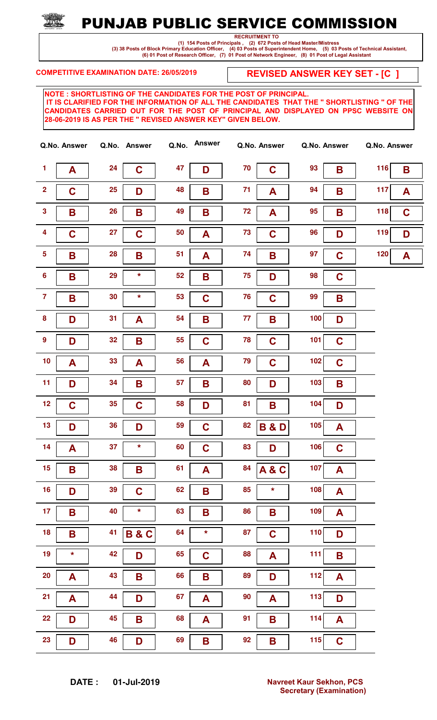## PUNJAB PUBLIC SERVICE COMMISSION

RECRUITMENT TO

 (1) 154 Posts of Principals , (2) 672 Posts of Head Master/Mistress (3) 38 Posts of Block Primary Education Officer, (4) 03 Posts of Superintendent Home, (5) 03 Posts of Technical Assistant, (6) 01 Post of Research Officer, (7) 01 Post of Network Engineer, (8) 01 Post of Legal Assistant

COMPETITIVE EXAMINATION DATE: 26/05/2019

REVISED ANSWER KEY SET - [C ]

| Q.No. Answer            |             |    | Q.No. Answer   | Q.No. | <b>Answer</b> |    | Q.No. Answer   |            | Q.No. Answer | Q.No. Answer |             |
|-------------------------|-------------|----|----------------|-------|---------------|----|----------------|------------|--------------|--------------|-------------|
| $\mathbf{1}$            | A           | 24 | $\mathbf C$    | 47    | D             | 70 | $\mathbf C$    | 93         | B            | 116          | B           |
| $\overline{\mathbf{2}}$ | $\mathbf C$ | 25 | D              | 48    | B             | 71 | A              | 94         | B            | 117          | A           |
| $\overline{\mathbf{3}}$ | B           | 26 | B              | 49    | B             | 72 | A              | 95         | B            | 118          | $\mathbf C$ |
| $\overline{\mathbf{4}}$ | $\mathbf C$ | 27 | $\mathbf C$    | 50    | A             | 73 | $\mathbf C$    | 96         | D            | 119          | D           |
| $5\phantom{.0}$         | B           | 28 | B              | 51    | A             | 74 | B              | 97         | $\mathbf C$  | 120          | A           |
| $6\phantom{a}$          | B           | 29 | $\star$        | 52    | B             | 75 | D              | 98         | $\mathbf C$  |              |             |
| $\overline{7}$          | B           | 30 | $\star$        | 53    | $\mathbf C$   | 76 | $\mathbf C$    | 99         | B            |              |             |
| $\bf{8}$                | D           | 31 | A              | 54    | B             | 77 | B              | 100        | D            |              |             |
| $\boldsymbol{9}$        | D           | 32 | B              | 55    | $\mathbf C$   | 78 | $\mathbf C$    | 101        | $\mathbf C$  |              |             |
| 10                      | A           | 33 | A              | 56    | A             | 79 | $\mathbf C$    | $102$      | $\mathbf C$  |              |             |
| 11                      | D           | 34 | B              | 57    | B             | 80 | D              | 103        | B            |              |             |
| 12                      | $\mathbf C$ | 35 | $\mathbf C$    | 58    | D             | 81 | B              | 104        | D            |              |             |
| 13                      | D           | 36 | D              | 59    | $\mathbf C$   | 82 | <b>B&amp;D</b> | 105        | A            |              |             |
| 14                      | A           | 37 | $\star$        | 60    | $\mathbf C$   | 83 | D              | 106        | $\mathbf C$  |              |             |
| 15                      | B           | 38 | B              | 61    | A             | 84 | <b>A&amp;C</b> | 107        | A            |              |             |
| 16                      | D           | 39 | $\mathbf C$    | 62    | B             | 85 | $\star$        | 108        | A            |              |             |
| 17 <sub>2</sub>         | B           | 40 | $\star$        | 63    | B             | 86 | B              | 109        | A            |              |             |
| 18                      | B           | 41 | <b>B&amp;C</b> | 64    | $\star$       | 87 | $\mathbf C$    | 110        | D            |              |             |
| 19                      | $\star$     | 42 | D              | 65    | $\mathbf C$   | 88 | A              | 111        | B            |              |             |
| 20                      | A           | 43 | B              | 66    | B             | 89 | D              | 112        | A            |              |             |
| 21                      | A           | 44 | D              | 67    | A             | 90 | A              | 113        | D            |              |             |
| 22                      | D           | 45 | B              | 68    | A             | 91 | B              | 114        | A            |              |             |
| 23                      | D           | 46 | D              | 69    | B             | 92 | B              | <b>115</b> | $\mathbf C$  |              |             |